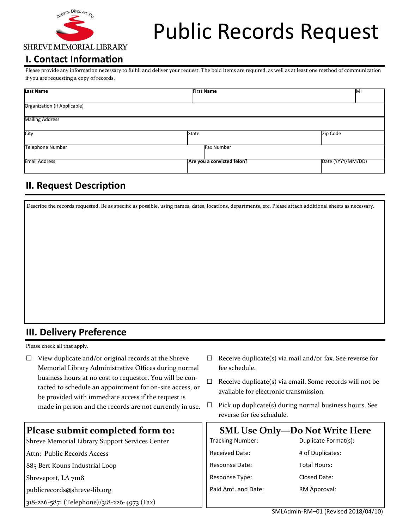

# Public Records Request

# **I. Contact Information**

Please provide any information necessary to fulfill and deliver your request. The bold items are required, as well as at least one method of communication if you are requesting a copy of records.

| <b>Last Name</b>             |              | <b>First Name</b>          | MI                |
|------------------------------|--------------|----------------------------|-------------------|
| Organization (If Applicable) |              |                            |                   |
| <b>Mailing Address</b>       |              |                            |                   |
| City                         | <b>State</b> |                            | Zip Code          |
| <b>Telephone Number</b>      |              | <b>Fax Number</b>          |                   |
| <b>Email Address</b>         |              | Are you a convicted felon? | Date (YYYY/MM/DD) |

# **II. Request Description**

Describe the records requested. Be as specific as possible, using names, dates, locations, departments, etc. Please attach additional sheets as necessary.

#### **III. Delivery Preference**

Please check all that apply.

- $\Box$  View duplicate and/or original records at the Shreve Memorial Library Administrative Offices during normal business hours at no cost to requestor. You will be contacted to schedule an appointment for on-site access, or be provided with immediate access if the request is made in person and the records are not currently in use.
- **Please submit completed form to:** Shreve Memorial Library Support Services Center Attn: Public Records Access 885 Bert Kouns Industrial Loop Shreveport, LA 71118 publicrecords@shreve-lib.org 318-226-5871 (Telephone)/318-226-4973 (Fax) **SML Use Only—Do Not Write Here** Tracking Number: Received Date: Response Date: Response Type: Paid Amt. and Date: Duplicate Format(s): # of Duplicates: Total Hours: Closed Date: RM Approval:
- $\Box$  Receive duplicate(s) via mail and/or fax. See reverse for fee schedule.
- $\Box$  Receive duplicate(s) via email. Some records will not be available for electronic transmission.
- $\Box$  Pick up duplicate(s) during normal business hours. See reverse for fee schedule.

| SMLAdmin-RM-01 (Revised 2018/04/10) |
|-------------------------------------|